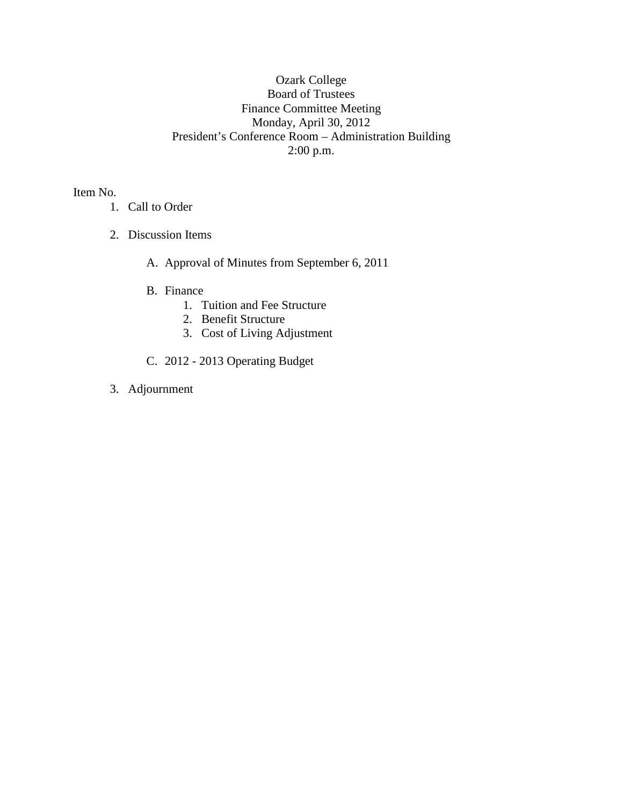## Ozark College Board of Trustees Finance Committee Meeting Monday, April 30, 2012 President's Conference Room – Administration Building 2:00 p.m.

Item No.

- 1. Call to Order
- 2. Discussion Items
	- A. Approval of Minutes from September 6, 2011
	- B. Finance
		- 1. Tuition and Fee Structure
		- 2. Benefit Structure
		- 3. Cost of Living Adjustment
	- C. 2012 2013 Operating Budget
- 3. Adjournment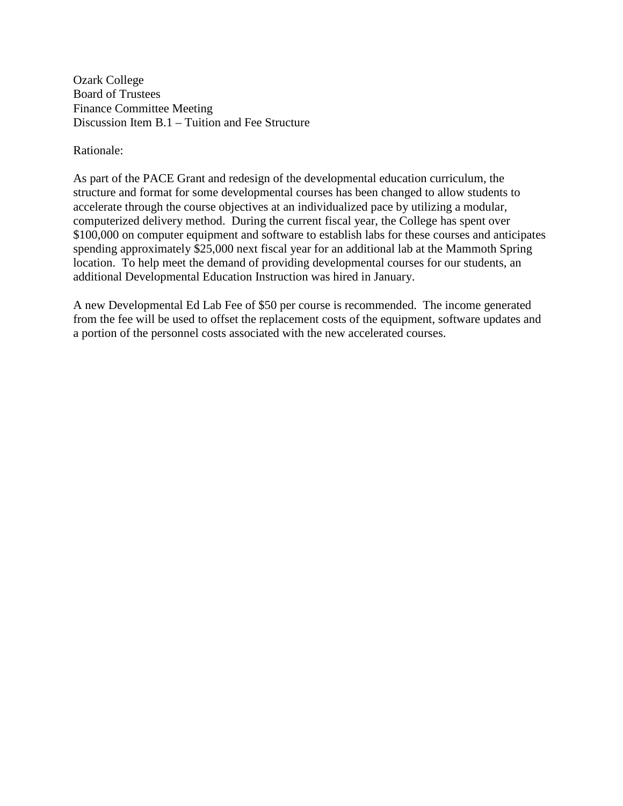Ozark College Board of Trustees Finance Committee Meeting Discussion Item B.1 – Tuition and Fee Structure

Rationale:

As part of the PACE Grant and redesign of the developmental education curriculum, the structure and format for some developmental courses has been changed to allow students to accelerate through the course objectives at an individualized pace by utilizing a modular, computerized delivery method. During the current fiscal year, the College has spent over \$100,000 on computer equipment and software to establish labs for these courses and anticipates spending approximately \$25,000 next fiscal year for an additional lab at the Mammoth Spring location. To help meet the demand of providing developmental courses for our students, an additional Developmental Education Instruction was hired in January.

A new Developmental Ed Lab Fee of \$50 per course is recommended. The income generated from the fee will be used to offset the replacement costs of the equipment, software updates and a portion of the personnel costs associated with the new accelerated courses.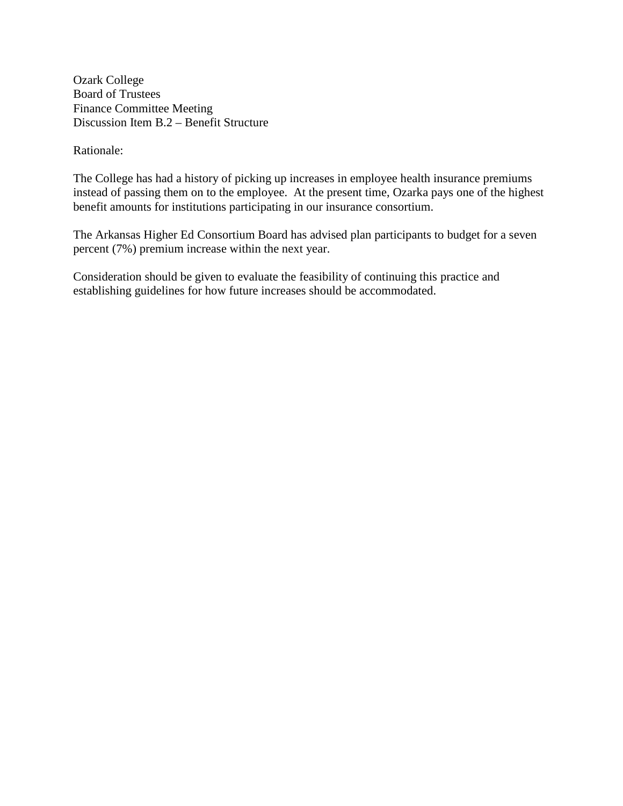Ozark College Board of Trustees Finance Committee Meeting Discussion Item B.2 – Benefit Structure

Rationale:

The College has had a history of picking up increases in employee health insurance premiums instead of passing them on to the employee. At the present time, Ozarka pays one of the highest benefit amounts for institutions participating in our insurance consortium.

The Arkansas Higher Ed Consortium Board has advised plan participants to budget for a seven percent (7%) premium increase within the next year.

Consideration should be given to evaluate the feasibility of continuing this practice and establishing guidelines for how future increases should be accommodated.